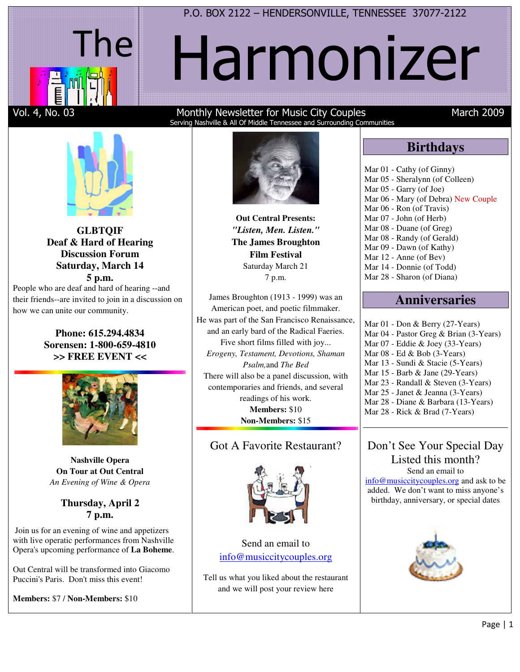### P.O. BOX 2122 – HENDERSONVILLE, TENNESSEE 37077-2122



# Harmonizer



**GLBTQIF Deaf & Hard of Hearing Discussion Forum Saturday, March 14 5 p.m.** 

People who are deaf and hard of hearing --and their friends--are invited to join in a discussion on how we can unite our community.

### **Phone: 615.294.4834 Sorensen: 1-800-659-4810 >> FREE EVENT <<**



**Nashville Opera On Tour at Out Central**  *An Evening of Wine & Opera*

### **Thursday, April 2 7 p.m.**

 Join us for an evening of wine and appetizers with live operatic performances from Nashville Opera's upcoming performance of **La Boheme**.

Out Central will be transformed into Giacomo Puccini's Paris. Don't miss this event!

**Members:** \$7 / **Non-Members:** \$10

### Vol. 4, No. 03 Monthly Newsletter for Music City Couples March 2009 Serving Nashville & All Of Middle Tennessee and Surrounding Communities

**Birthdays** 

Mar 06 - Mary (of Debra) New Couple

Mar 01 - Cathy (of Ginny) Mar 05 - Sheralynn (of Colleen)

Mar 05 - Garry (of Joe)

Mar 06 - Ron (of Travis) Mar 07 - John (of Herb) Mar 08 - Duane (of Greg) Mar 08 - Randy (of Gerald) Mar 09 - Dawn (of Kathy) Mar 12 - Anne (of Bev) Mar 14 - Donnie (of Todd) Mar 28 - Sharon (of Diana)

**Out Central Presents:** *"Listen, Men. Listen."* **The James Broughton Film Festival** Saturday March 21 7 p.m.

James Broughton (1913 - 1999) was an American poet, and poetic filmmaker. He was part of the San Francisco Renaissance, and an early bard of the Radical Faeries. Five short films filled with joy... *Erogeny, Testament, Devotions, Shaman Psalm,*and *The Bed*  There will also be a panel discussion, with contemporaries and friends, and several readings of his work. **Members:** \$10 **Non-Members:** \$15

### Got A Favorite Restaurant?



Send an email to info@musiccitycouples.org

Tell us what you liked about the restaurant and we will post your review here



### **Anniversaries**  Mar 01 - Don & Berry (27-Years) Mar 04 - Pastor Greg & Brian (3-Years) Mar 07 - Eddie & Joey (33-Years) Mar 08 - Ed & Bob (3-Years) Mar 13 - Sundi & Stacie (5-Years) Mar 15 - Barb & Jane (29-Years) Mar 23 - Randall & Steven (3-Years) Mar 25 - Janet & Jeanna (3-Years)

Mar 28 - Diane & Barbara (13-Years)

Mar 28 - Rick & Brad (7-Years)

### Don't See Your Special Day Listed this month? Send an email to

info@musiccitycouples.org and ask to be added. We don't want to miss anyone's birthday, anniversary, or special dates

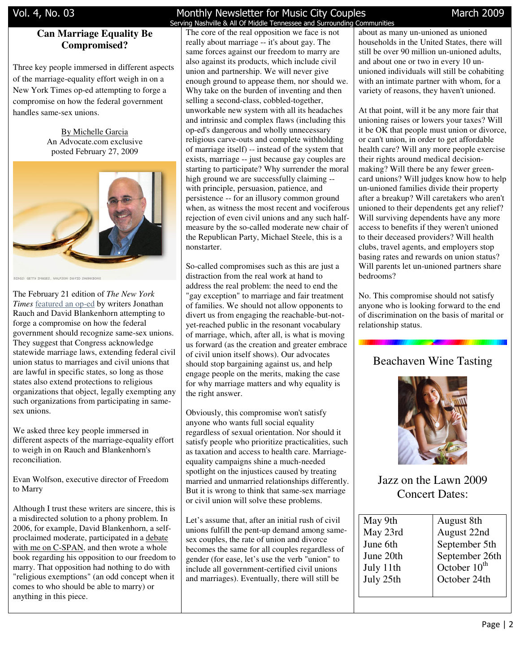### **Can Marriage Equality Be Compromised?**

Three key people immersed in different aspects of the marriage-equality effort weigh in on a New York Times op-ed attempting to forge a compromise on how the federal government handles same-sex unions.

> By Michelle Garcia An Advocate.com exclusive posted February 27, 2009



RINGS: GETTY IMAGES, WOLFSON: DAVID SHANKBONE

The February 21 edition of *The New York Times* featured an op-ed by writers Jonathan Rauch and David Blankenhorn attempting to forge a compromise on how the federal government should recognize same-sex unions. They suggest that Congress acknowledge statewide marriage laws, extending federal civil union status to marriages and civil unions that are lawful in specific states, so long as those states also extend protections to religious organizations that object, legally exempting any such organizations from participating in samesex unions.

We asked three key people immersed in different aspects of the marriage-equality effort to weigh in on Rauch and Blankenhorn's reconciliation.

Evan Wolfson, executive director of Freedom to Marry

Although I trust these writers are sincere, this is a misdirected solution to a phony problem. In 2006, for example, David Blankenhorn, a selfproclaimed moderate, participated in a debate with me on C-SPAN, and then wrote a whole book regarding his opposition to our freedom to marry. That opposition had nothing to do with "religious exemptions" (an odd concept when it comes to who should be able to marry) or anything in this piece.

### Vol. 4, No. 03 **Monthly Newsletter for Music City Couples** March 2009 Serving Nashville & All Of Middle Tennessee and Surrounding Communities

The core of the real opposition we face is not really about marriage -- it's about gay. The same forces against our freedom to marry are also against its products, which include civil union and partnership. We will never give enough ground to appease them, nor should we. Why take on the burden of inventing and then selling a second-class, cobbled-together, unworkable new system with all its headaches and intrinsic and complex flaws (including this op-ed's dangerous and wholly unnecessary religious carve-outs and complete withholding of marriage itself) -- instead of the system that exists, marriage -- just because gay couples are starting to participate? Why surrender the moral high ground we are successfully claiming - with principle, persuasion, patience, and persistence -- for an illusory common ground when, as witness the most recent and vociferous rejection of even civil unions and any such halfmeasure by the so-called moderate new chair of the Republican Party, Michael Steele, this is a nonstarter.

So-called compromises such as this are just a distraction from the real work at hand to address the real problem: the need to end the "gay exception" to marriage and fair treatment of families. We should not allow opponents to divert us from engaging the reachable-but-notyet-reached public in the resonant vocabulary of marriage, which, after all, is what is moving us forward (as the creation and greater embrace of civil union itself shows). Our advocates should stop bargaining against us, and help engage people on the merits, making the case for why marriage matters and why equality is the right answer.

Obviously, this compromise won't satisfy anyone who wants full social equality regardless of sexual orientation. Nor should it satisfy people who prioritize practicalities, such as taxation and access to health care. Marriageequality campaigns shine a much-needed spotlight on the injustices caused by treating married and unmarried relationships differently. But it is wrong to think that same-sex marriage or civil union will solve these problems.

Let's assume that, after an initial rush of civil unions fulfill the pent-up demand among samesex couples, the rate of union and divorce becomes the same for all couples regardless of gender (for ease, let's use the verb "union" to include all government-certified civil unions and marriages). Eventually, there will still be

about as many un-unioned as unioned households in the United States, there will still be over 90 million un-unioned adults, and about one or two in every 10 ununioned individuals will still be cohabiting with an intimate partner with whom, for a variety of reasons, they haven't unioned.

At that point, will it be any more fair that unioning raises or lowers your taxes? Will it be OK that people must union or divorce, or can't union, in order to get affordable health care? Will any more people exercise their rights around medical decisionmaking? Will there be any fewer greencard unions? Will judges know how to help un-unioned families divide their property after a breakup? Will caretakers who aren't unioned to their dependents get any relief? Will surviving dependents have any more access to benefits if they weren't unioned to their deceased providers? Will health clubs, travel agents, and employers stop basing rates and rewards on union status? Will parents let un-unioned partners share bedrooms?

No. This compromise should not satisfy anyone who is looking forward to the end of discrimination on the basis of marital or relationship status.

### Beachaven Wine Tasting



Jazz on the Lawn 2009 Concert Dates:

| May 9th   | August 8th               |
|-----------|--------------------------|
| May 23rd  | August 22nd              |
| June 6th  | September 5th            |
| June 20th | September 26th           |
| July 11th | October 10 <sup>th</sup> |
| July 25th | October 24th             |
|           |                          |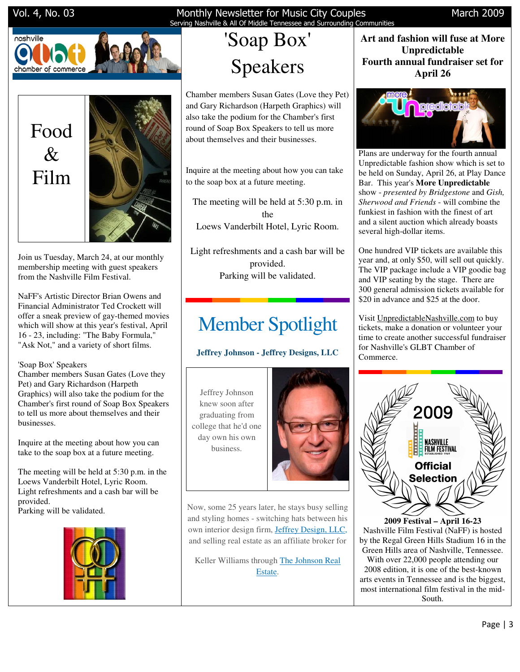



Join us Tuesday, March 24, at our monthly membership meeting with guest speakers from the Nashville Film Festival.

NaFF's Artistic Director Brian Owens and Financial Administrator Ted Crockett will offer a sneak preview of gay-themed movies which will show at this year's festival, April 16 - 23, including: "The Baby Formula," "Ask Not," and a variety of short films.

### 'Soap Box' Speakers

Chamber members Susan Gates (Love they Pet) and Gary Richardson (Harpeth Graphics) will also take the podium for the Chamber's first round of Soap Box Speakers to tell us more about themselves and their businesses.

Inquire at the meeting about how you can take to the soap box at a future meeting.

The meeting will be held at 5:30 p.m. in the Loews Vanderbilt Hotel, Lyric Room. Light refreshments and a cash bar will be provided. Parking will be validated.



# Serving Nashville & All Of Middle Tennessee and Surrounding Communities

# 'Soap Box' Speakers

Chamber members Susan Gates (Love they Pet) and Gary Richardson (Harpeth Graphics) will also take the podium for the Chamber's first round of Soap Box Speakers to tell us more about themselves and their businesses.

Inquire at the meeting about how you can take to the soap box at a future meeting.

The meeting will be held at 5:30 p.m. in the Loews Vanderbilt Hotel, Lyric Room.

Light refreshments and a cash bar will be provided. Parking will be validated.

# Member Spotlight

### **Jeffrey Johnson - Jeffrey Designs, LLC**

Jeffrey Johnson knew soon after graduating from college that he'd one day own his own business.



Now, some 25 years later, he stays busy selling and styling homes - switching hats between his own interior design firm, Jeffrey Design, LLC, and selling real estate as an affiliate broker for

Keller Williams through The Johnson Real Estate.

### **Art and fashion will fuse at More Unpredictable Fourth annual fundraiser set for April 26**



Plans are underway for the fourth annual Unpredictable fashion show which is set to be held on Sunday, April 26, at Play Dance Bar. This year's **More Unpredictable**  show - *presented by Bridgestone* and *Gish, Sherwood and Friends* - will combine the funkiest in fashion with the finest of art and a silent auction which already boasts several high-dollar items.

One hundred VIP tickets are available this year and, at only \$50, will sell out quickly. The VIP package include a VIP goodie bag and VIP seating by the stage. There are 300 general admission tickets available for \$20 in advance and \$25 at the door.

Visit UnpredictableNashville.com to buy tickets, make a donation or volunteer your time to create another successful fundraiser for Nashville's GLBT Chamber of Commerce.



**2009 Festival – April 16-23** Nashville Film Festival (NaFF) is hosted by the Regal Green Hills Stadium 16 in the Green Hills area of Nashville, Tennessee. With over 22,000 people attending our 2008 edition, it is one of the best-known arts events in Tennessee and is the biggest, most international film festival in the mid-South.